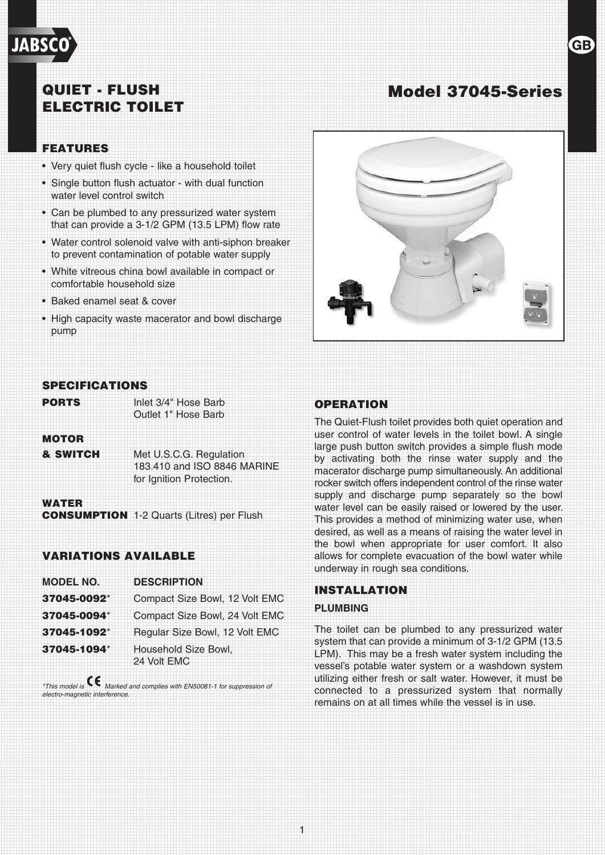## QUIET - FLUSH ELECTRIC TOILET

#### FEATURES

**JABS** 

- Very quiet flush cycle like a household toilet
- Single button flush actuator with dual function water level control switch
- Can be plumbed to any pressurized water system that can provide a 3-1/2 GPM (13.5 LPM) flow rate
- Water control solenoid valve with anti-siphon breaker to prevent contamination of potable water supply
- White vitreous china bowl available in compact or comfortable household size
- Baked enamel seat & cover
- High capacity waste macerator and bowl discharge pump



Model 37045-Series

#### SPECIFICATIONS

**PORTS** Inlet 3/4" Hose Barb

Outlet 1" Hose Barb

#### **MOTOR**

**& SWITCH Met U.S.C.G. Regulation** 183.410 and ISO 8846 MARINE for Ignition Protection.

#### WATER

**CONSUMPTION** 1-2 Quarts (Litres) per Flush

#### VARIATIONS AVAILABLE

| <b>MODEL NO.</b> | <b>DESCRIPTION</b>                  |  |
|------------------|-------------------------------------|--|
| 37045-0092*      | Compact Size Bowl, 12 Volt EMC      |  |
| 37045-0094*      | Compact Size Bowl, 24 Volt EMC      |  |
| 37045-1092*      | Regular Size Bowl, 12 Volt EMC      |  |
| 37045-1094*      | Household Size Bowl,<br>24 Volt EMC |  |

*\*This model is Marked and complies with EN50081-1 for suppression of electro-magnetic interference.*

#### OPERATION

The Quiet-Flush toilet provides both quiet operation and user control of water levels in the toilet bowl. A single large push button switch provides a simple flush mode by activating both the rinse water supply and the macerator discharge pump simultaneously. An additional rocker switch offers independent control of the rinse water supply and discharge pump separately so the bowl water level can be easily raised or lowered by the user. This provides a method of minimizing water use, when desired, as well as a means of raising the water level in the bowl when appropriate for user comfort. It also allows for complete evacuation of the bowl water while underway in rough sea conditions.

#### INSTALLATION

#### **PLUMBING**

1

The toilet can be plumbed to any pressurized water system that can provide a minimum of 3-1/2 GPM (13.5 LPM). This may be a fresh water system including the vessel's potable water system or a washdown system utilizing either fresh or salt water. However, it must be connected to a pressurized system that normally remains on at all times while the vessel is in use.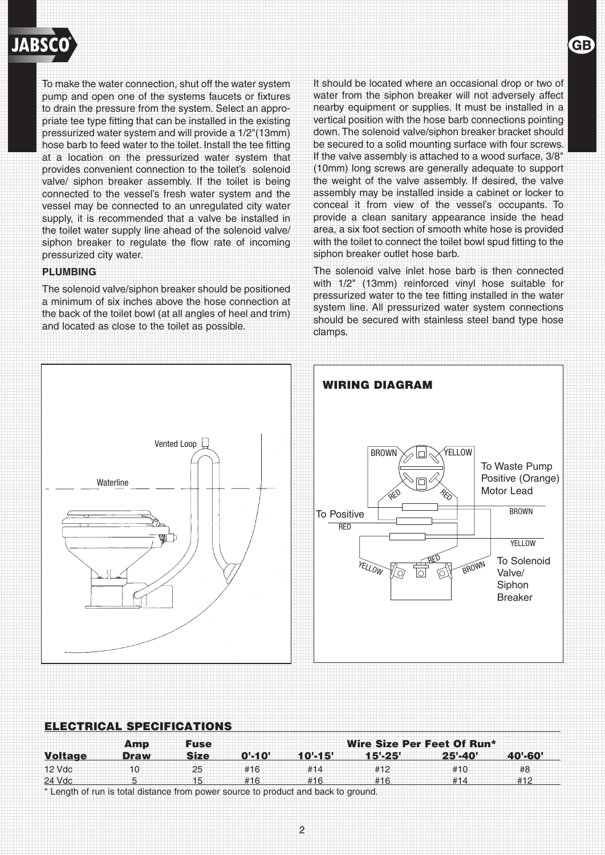

To make the water connection, shut off the water system pump and open one of the systems faucets or fixtures to drain the pressure from the system. Select an appropriate tee type fitting that can be installed in the existing pressurized water system and will provide a 1/2"(13mm) hose barb to feed water to the toilet. Install the tee fitting at a location on the pressurized water system that provides convenient connection to the toilet's solenoid valve/ siphon breaker assembly. If the toilet is being connected to the vessel's fresh water system and the vessel may be connected to an unregulated city water supply, it is recommended that a valve be installed in the toilet water supply line ahead of the solenoid valve/ siphon breaker to regulate the flow rate of incoming pressurized city water.

#### **PLUMBING**

The solenoid valve/siphon breaker should be positioned a minimum of six inches above the hose connection at the back of the toilet bowl (at all angles of heel and trim) and located as close to the toilet as possible.

It should be located where an occasional drop or two of water from the siphon breaker will not adversely affect nearby equipment or supplies. It must be installed in a vertical position with the hose barb connections pointing down. The solenoid valve/siphon breaker bracket should be secured to a solid mounting surface with four screws. If the valve assembly is attached to a wood surface, 3/8" (10mm) long screws are generally adequate to support the weight of the valve assembly. If desired, the valve assembly may be installed inside a cabinet or locker to conceal it from view of the vessel's occupants. To provide a clean sanitary appearance inside the head area, a six foot section of smooth white hose is provided with the toilet to connect the toilet bowl spud fitting to the siphon breaker outlet hose barb.

The solenoid valve inlet hose barb is then connected with 1/2" (13mm) reinforced vinyl hose suitable for pressurized water to the tee fitting installed in the water system line. All pressurized water system connections should be secured with stainless steel band type hose clamps.



|                | Amp         | <b>Fuse</b> | Wire Size Per Feet Of Run* |             |             |             |         |
|----------------|-------------|-------------|----------------------------|-------------|-------------|-------------|---------|
| <b>Voltage</b> | <b>Draw</b> | <b>Size</b> | $0' - 10'$                 | $10' - 15'$ | $15' - 25'$ | $25' - 40'$ | 40'-60' |
| 12 Vdc         | 10          | 25          | #16                        | #14         | #12         | #10         | #8      |
| 24 Vdc         |             | 15          | #16                        | #16         | #16         | #14         | #12     |

\* Length of run is total distance from power source to product and back to ground.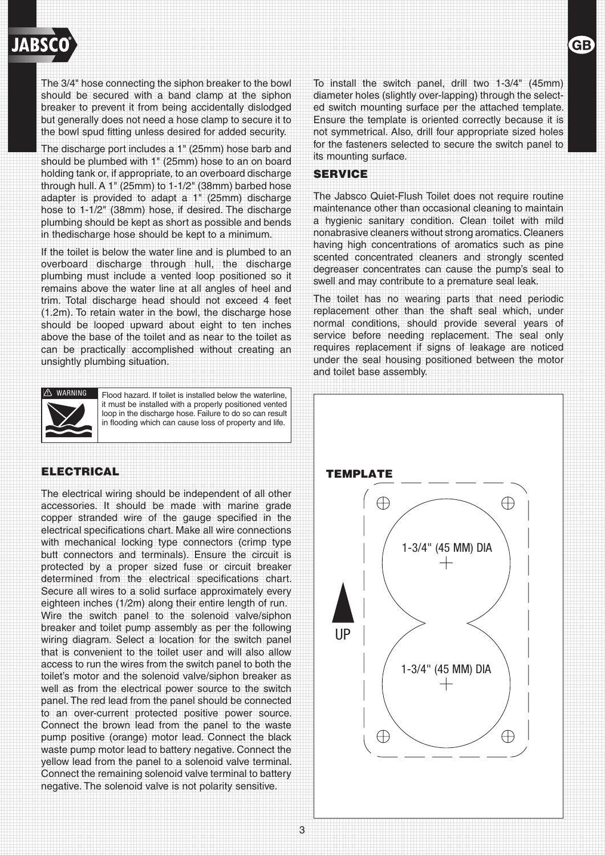

The 3/4" hose connecting the siphon breaker to the bowl should be secured with a band clamp at the siphon breaker to prevent it from being accidentally dislodged but generally does not need a hose clamp to secure it to the bowl spud fitting unless desired for added security.

The discharge port includes a 1" (25mm) hose barb and should be plumbed with 1" (25mm) hose to an on board holding tank or, if appropriate, to an overboard discharge through hull. A 1" (25mm) to 1-1/2" (38mm) barbed hose adapter is provided to adapt a 1" (25mm) discharge hose to 1-1/2" (38mm) hose, if desired. The discharge plumbing should be kept as short as possible and bends in thedischarge hose should be kept to a minimum.

If the toilet is below the water line and is plumbed to an overboard discharge through hull, the discharge plumbing must include a vented loop positioned so it remains above the water line at all angles of heel and trim. Total discharge head should not exceed 4 feet (1.2m). To retain water in the bowl, the discharge hose should be looped upward about eight to ten inches above the base of the toilet and as near to the toilet as can be practically accomplished without creating an unsightly plumbing situation.



**! WARNING**

Flood hazard. If toilet is installed below the waterline, it must be installed with a properly positioned vented loop in the discharge hose. Failure to do so can result in flooding which can cause loss of property and life.

#### ELECTRICAL

The electrical wiring should be independent of all other accessories. It should be made with marine grade copper stranded wire of the gauge specified in the electrical specifications chart. Make all wire connections with mechanical locking type connectors (crimp type butt connectors and terminals). Ensure the circuit is protected by a proper sized fuse or circuit breaker determined from the electrical specifications chart. Secure all wires to a solid surface approximately every eighteen inches (1/2m) along their entire length of run. Wire the switch panel to the solenoid valve/siphon breaker and toilet pump assembly as per the following wiring diagram. Select a location for the switch panel that is convenient to the toilet user and will also allow access to run the wires from the switch panel to both the toilet's motor and the solenoid valve/siphon breaker as well as from the electrical power source to the switch panel. The red lead from the panel should be connected to an over-current protected positive power source. Connect the brown lead from the panel to the waste pump positive (orange) motor lead. Connect the black waste pump motor lead to battery negative. Connect the yellow lead from the panel to a solenoid valve terminal. Connect the remaining solenoid valve terminal to battery negative. The solenoid valve is not polarity sensitive.

To install the switch panel, drill two 1-3/4" (45mm) diameter holes (slightly over-lapping) through the selected switch mounting surface per the attached template. Ensure the template is oriented correctly because it is not symmetrical. Also, drill four appropriate sized holes for the fasteners selected to secure the switch panel to its mounting surface.

**GB** 

#### SERVICE

The Jabsco Quiet-Flush Toilet does not require routine maintenance other than occasional cleaning to maintain a hygienic sanitary condition. Clean toilet with mild nonabrasive cleaners without strong aromatics.Cleaners having high concentrations of aromatics such as pine scented concentrated cleaners and strongly scented degreaser concentrates can cause the pump's seal to swell and may contribute to a premature seal leak.

The toilet has no wearing parts that need periodic replacement other than the shaft seal which, under normal conditions, should provide several years of service before needing replacement. The seal only requires replacement if signs of leakage are noticed under the seal housing positioned between the motor and toilet base assembly.

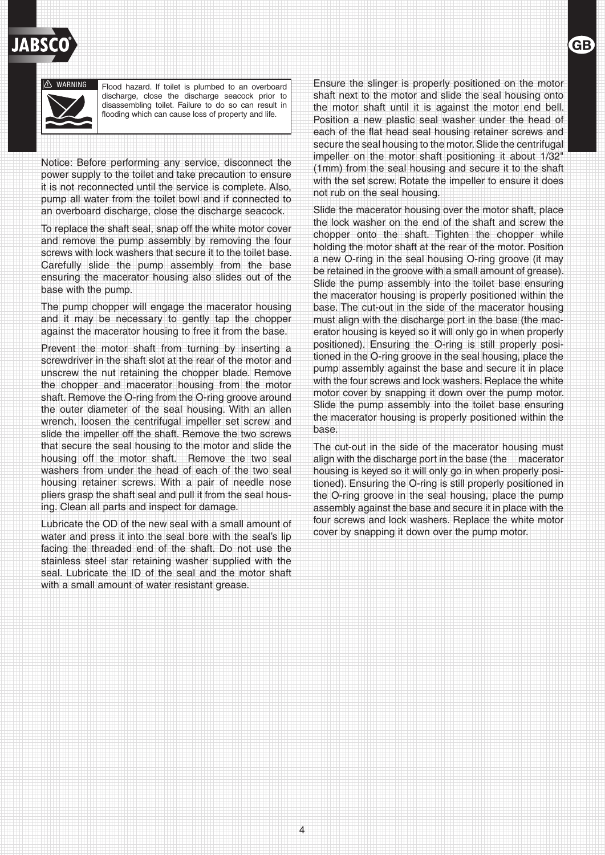# **! DANGER**



**! WARNING**

Flood hazard. If toilet is plumbed to an overboard discharge, close the discharge seacock prior to disassembling toilet. Failure to do so can result in flooding which can cause loss of property and life.

Notice: Before performing any service, disconnect the power supply to the toilet and take precaution to ensure it is not reconnected until the service is complete. Also, pump all water from the toilet bowl and if connected to an overboard discharge, close the discharge seacock.

To replace the shaft seal, snap off the white motor cover and remove the pump assembly by removing the four screws with lock washers that secure it to the toilet base. Carefully slide the pump assembly from the base ensuring the macerator housing also slides out of the base with the pump.

The pump chopper will engage the macerator housing and it may be necessary to gently tap the chopper against the macerator housing to free it from the base.

Prevent the motor shaft from turning by inserting a screwdriver in the shaft slot at the rear of the motor and unscrew the nut retaining the chopper blade. Remove the chopper and macerator housing from the motor shaft. Remove the O-ring from the O-ring groove around the outer diameter of the seal housing. With an allen wrench, loosen the centrifugal impeller set screw and slide the impeller off the shaft. Remove the two screws that secure the seal housing to the motor and slide the housing off the motor shaft. Remove the two seal washers from under the head of each of the two seal housing retainer screws. With a pair of needle nose pliers grasp the shaft seal and pull it from the seal housing. Clean all parts and inspect for damage.

Lubricate the OD of the new seal with a small amount of water and press it into the seal bore with the seal's lip facing the threaded end of the shaft. Do not use the stainless steel star retaining washer supplied with the seal. Lubricate the ID of the seal and the motor shaft with a small amount of water resistant grease.

Ensure the slinger is properly positioned on the motor shaft next to the motor and slide the seal housing onto the motor shaft until it is against the motor end bell. Position a new plastic seal washer under the head of each of the flat head seal housing retainer screws and secure the seal housing to the motor. Slide the centrifugal impeller on the motor shaft positioning it about 1/32" (1mm) from the seal housing and secure it to the shaft with the set screw. Rotate the impeller to ensure it does not rub on the seal housing.

Slide the macerator housing over the motor shaft, place the lock washer on the end of the shaft and screw the chopper onto the shaft. Tighten the chopper while holding the motor shaft at the rear of the motor. Position a new O-ring in the seal housing O-ring groove (it may be retained in the groove with a small amount of grease). Slide the pump assembly into the toilet base ensuring the macerator housing is properly positioned within the base. The cut-out in the side of the macerator housing must align with the discharge port in the base (the macerator housing is keyed so it will only go in when properly positioned). Ensuring the O-ring is still properly positioned in the O-ring groove in the seal housing, place the pump assembly against the base and secure it in place with the four screws and lock washers. Replace the white motor cover by snapping it down over the pump motor. Slide the pump assembly into the toilet base ensuring the macerator housing is properly positioned within the base.

The cut-out in the side of the macerator housing must align with the discharge port in the base (the macerator housing is keyed so it will only go in when properly positioned). Ensuring the O-ring is still properly positioned in the O-ring groove in the seal housing, place the pump assembly against the base and secure it in place with the four screws and lock washers. Replace the white motor cover by snapping it down over the pump motor.

4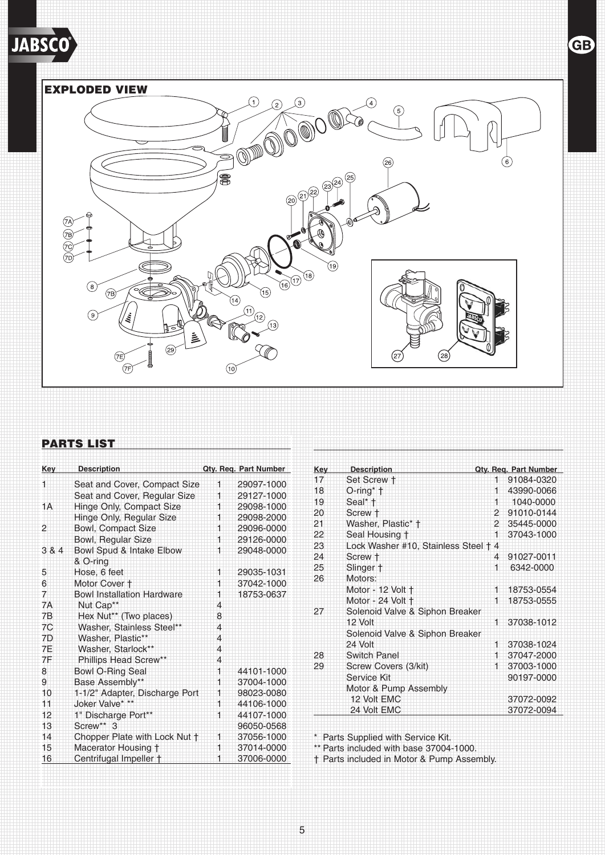**JABSCO** 





### PARTS LIST

| Key   | <b>Description</b>                |                | Qty. Req. Part Number |
|-------|-----------------------------------|----------------|-----------------------|
| 1     | Seat and Cover, Compact Size      | 1              | 29097-1000            |
|       | Seat and Cover, Regular Size      | 1              | 29127-1000            |
| 1A    | Hinge Only, Compact Size          | 1              | 29098-1000            |
|       | Hinge Only, Regular Size          | 1              | 29098-2000            |
| 2     | <b>Bowl, Compact Size</b>         | 1              | 29096-0000            |
|       | Bowl, Regular Size                | 1              | 29126-0000            |
| 3 & 4 | Bowl Spud & Intake Elbow          | 1              | 29048-0000            |
|       | & O-ring                          |                |                       |
| 5     | Hose, 6 feet                      | 1              | 29035-1031            |
| 6     | Motor Cover +                     | 1              | 37042-1000            |
| 7     | <b>Bowl Installation Hardware</b> | 1              | 18753-0637            |
| 7A    | Nut Cap**                         | 4              |                       |
| 7B    | Hex Nut** (Two places)            | 8              |                       |
| 7C    | Washer, Stainless Steel**         | $\overline{4}$ |                       |
| 7D    | Washer, Plastic**                 | $\overline{4}$ |                       |
| 7F    | Washer, Starlock**                | $\overline{4}$ |                       |
| 7F    | Phillips Head Screw**             | 4              |                       |
| 8     | <b>Bowl O-Ring Seal</b>           | 1              | 44101-1000            |
| 9     | Base Assembly**                   | 1              | 37004-1000            |
| 10    | 1-1/2" Adapter, Discharge Port    | 1              | 98023-0080            |
| 11    | Joker Valve* **                   | 1              | 44106-1000            |
| 12    | 1" Discharge Port**               | 1              | 44107-1000            |
| 13    | $Screw**3$                        |                | 96050-0568            |
| 14    | Chopper Plate with Lock Nut +     | 1              | 37056-1000            |
| 15    | Macerator Housing †               | 1              | 37014-0000            |
| 16    | Centrifugal Impeller †            | 1              | 37006-0000            |

| Key | <b>Description</b>                 |              | Qty. Req. Part Number |  |  |  |
|-----|------------------------------------|--------------|-----------------------|--|--|--|
| 17  | Set Screw †                        | 1            | 91084-0320            |  |  |  |
| 18  | $O$ -ring* $\dagger$               | 1            | 43990-0066            |  |  |  |
| 19  | Seal* †                            | 1            | 1040-0000             |  |  |  |
| 20  | Screw +                            |              | 2 91010-0144          |  |  |  |
| 21  | Washer, Plastic* +                 |              | 2 35445-0000          |  |  |  |
| 22  | Seal Housing †                     | 1            | 37043-1000            |  |  |  |
| 23  | Lock Washer #10, Stainless Steel + | 4            |                       |  |  |  |
| 24  | Screw +                            | 4            | 91027-0011            |  |  |  |
| 25  | Slinger +                          | 1            | 6342-0000             |  |  |  |
| 26  | Motors:                            |              |                       |  |  |  |
|     | Motor - 12 Volt †                  | 1.           | 18753-0554            |  |  |  |
|     | Motor - 24 Volt †                  | 1            | 18753-0555            |  |  |  |
| 27  | Solenoid Valve & Siphon Breaker    |              |                       |  |  |  |
|     | 12 Volt                            | 1            | 37038-1012            |  |  |  |
|     | Solenoid Valve & Siphon Breaker    |              |                       |  |  |  |
|     | 24 Volt                            | 1.           | 37038-1024            |  |  |  |
| 28  | Switch Panel                       | 1.           | 37047-2000            |  |  |  |
| 29  | Screw Covers (3/kit)               | $^{\dagger}$ | 37003-1000            |  |  |  |
|     | Service Kit                        |              | 90197-0000            |  |  |  |
|     | Motor & Pump Assembly              |              |                       |  |  |  |
|     | 12 Volt EMC                        |              | 37072-0092            |  |  |  |
|     | 24 Volt EMC                        |              | 37072-0094            |  |  |  |

\* Parts Supplied with Service Kit.

\*\* Parts included with base 37004-1000.

† Parts included in Motor & Pump Assembly.